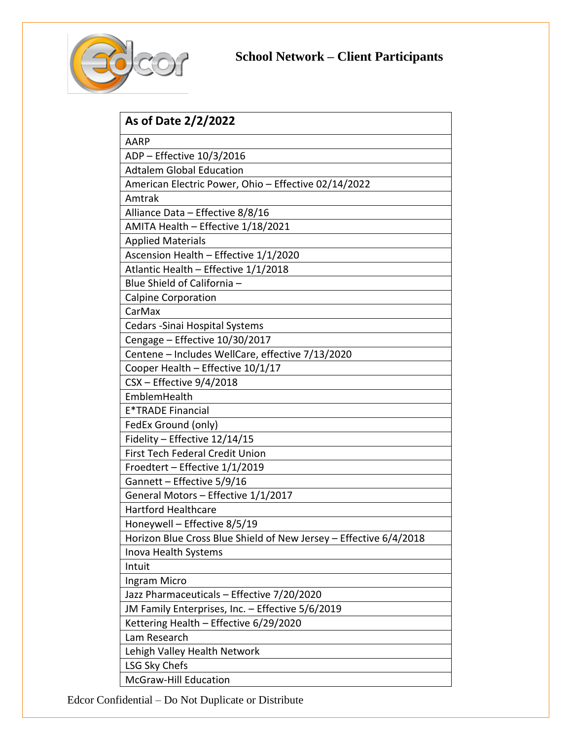

## **School Network – Client Participants**

| As of Date 2/2/2022                                               |
|-------------------------------------------------------------------|
| AARP                                                              |
| ADP - Effective 10/3/2016                                         |
| <b>Adtalem Global Education</b>                                   |
| American Electric Power, Ohio - Effective 02/14/2022              |
| Amtrak                                                            |
| Alliance Data - Effective 8/8/16                                  |
| AMITA Health - Effective 1/18/2021                                |
| <b>Applied Materials</b>                                          |
| Ascension Health - Effective 1/1/2020                             |
| Atlantic Health - Effective 1/1/2018                              |
| Blue Shield of California -                                       |
| <b>Calpine Corporation</b>                                        |
| CarMax                                                            |
| Cedars - Sinai Hospital Systems                                   |
| Cengage - Effective 10/30/2017                                    |
| Centene - Includes WellCare, effective 7/13/2020                  |
| Cooper Health - Effective 10/1/17                                 |
| $CSX$ – Effective $9/4/2018$                                      |
| EmblemHealth                                                      |
| <b>E*TRADE Financial</b>                                          |
| FedEx Ground (only)                                               |
| Fidelity - Effective 12/14/15                                     |
| <b>First Tech Federal Credit Union</b>                            |
| Froedtert - Effective 1/1/2019                                    |
| Gannett - Effective 5/9/16                                        |
| General Motors - Effective 1/1/2017                               |
| <b>Hartford Healthcare</b>                                        |
| Honeywell - Effective 8/5/19                                      |
| Horizon Blue Cross Blue Shield of New Jersey - Effective 6/4/2018 |
| Inova Health Systems                                              |
| Intuit                                                            |
| Ingram Micro                                                      |
| Jazz Pharmaceuticals - Effective 7/20/2020                        |
| JM Family Enterprises, Inc. - Effective 5/6/2019                  |
| Kettering Health - Effective 6/29/2020                            |
| Lam Research                                                      |
| Lehigh Valley Health Network                                      |
| LSG Sky Chefs                                                     |
| <b>McGraw-Hill Education</b>                                      |

Edcor Confidential – Do Not Duplicate or Distribute